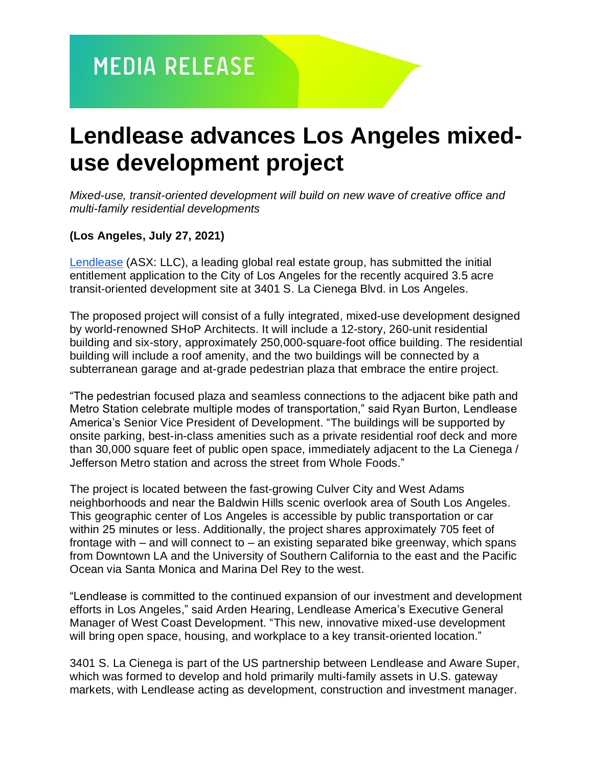## **Lendlease advances Los Angeles mixeduse development project**

*Mixed-use, transit-oriented development will build on new wave of creative office and multi-family residential developments*

### **(Los Angeles, July 27, 2021)**

[Lendlease](https://www.lendlease.com/us/) (ASX: LLC), a leading global real estate group, has submitted the initial entitlement application to the City of Los Angeles for the recently acquired 3.5 acre transit-oriented development site at 3401 S. La Cienega Blvd. in Los Angeles.

The proposed project will consist of a fully integrated, mixed-use development designed by world-renowned SHoP Architects. It will include a 12-story, 260-unit residential building and six-story, approximately 250,000-square-foot office building. The residential building will include a roof amenity, and the two buildings will be connected by a subterranean garage and at-grade pedestrian plaza that embrace the entire project.

"The pedestrian focused plaza and seamless connections to the adjacent bike path and Metro Station celebrate multiple modes of transportation," said Ryan Burton, Lendlease America's Senior Vice President of Development. "The buildings will be supported by onsite parking, best-in-class amenities such as a private residential roof deck and more than 30,000 square feet of public open space, immediately adjacent to the La Cienega / Jefferson Metro station and across the street from Whole Foods."

The project is located between the fast-growing Culver City and West Adams neighborhoods and near the Baldwin Hills scenic overlook area of South Los Angeles. This geographic center of Los Angeles is accessible by public transportation or car within 25 minutes or less. Additionally, the project shares approximately 705 feet of frontage with  $-$  and will connect to  $-$  an existing separated bike greenway, which spans from Downtown LA and the University of Southern California to the east and the Pacific Ocean via Santa Monica and Marina Del Rey to the west.

"Lendlease is committed to the continued expansion of our investment and development efforts in Los Angeles," said Arden Hearing, Lendlease America's Executive General Manager of West Coast Development. "This new, innovative mixed-use development will bring open space, housing, and workplace to a key transit-oriented location."

3401 S. La Cienega is part of the US partnership between Lendlease and Aware Super, which was formed to develop and hold primarily multi-family assets in U.S. gateway markets, with Lendlease acting as development, construction and investment manager.